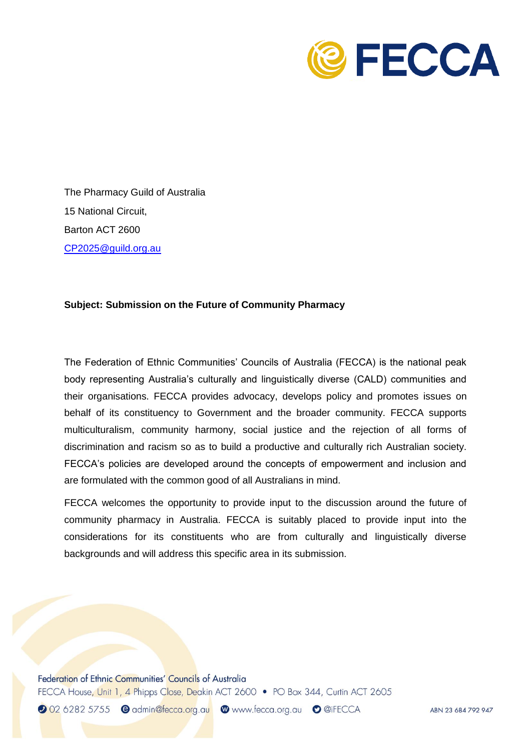

The Pharmacy Guild of Australia 15 National Circuit, Barton ACT 2600 [CP2025@guild.org.au](mailto:CP2025@guild.org.au)

## **Subject: Submission on the Future of Community Pharmacy**

The Federation of Ethnic Communities' Councils of Australia (FECCA) is the national peak body representing Australia's culturally and linguistically diverse (CALD) communities and their organisations. FECCA provides advocacy, develops policy and promotes issues on behalf of its constituency to Government and the broader community. FECCA supports multiculturalism, community harmony, social justice and the rejection of all forms of discrimination and racism so as to build a productive and culturally rich Australian society. FECCA's policies are developed around the concepts of empowerment and inclusion and are formulated with the common good of all Australians in mind.

FECCA welcomes the opportunity to provide input to the discussion around the future of community pharmacy in Australia. FECCA is suitably placed to provide input into the considerations for its constituents who are from culturally and linguistically diverse backgrounds and will address this specific area in its submission.

Federation of Ethnic Communities' Councils of Australia FECCA House, Unit 1, 4 Phipps Close, Deakin ACT 2600 • PO Box 344, Curtin ACT 2605

2 02 6282 5755 e admin@fecca.org.au @www.fecca.org.au o @iFECCA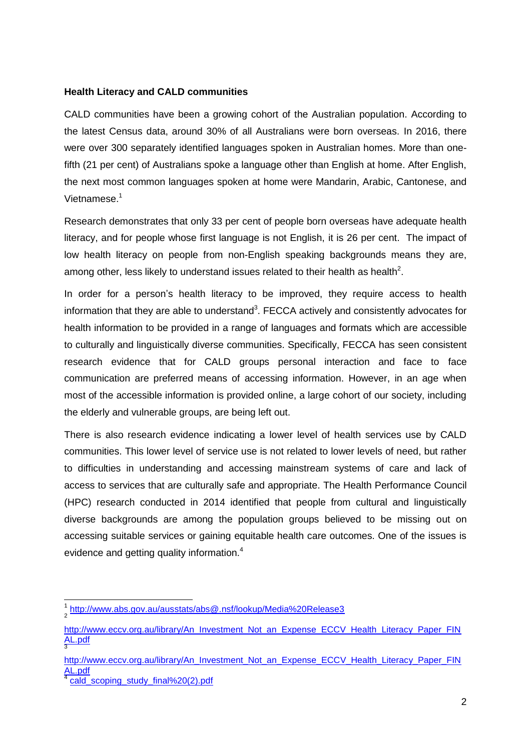## **Health Literacy and CALD communities**

CALD communities have been a growing cohort of the Australian population. According to the latest Census data, around 30% of all Australians were born overseas. In 2016, there were over 300 separately identified languages spoken in Australian homes. More than onefifth (21 per cent) of Australians spoke a language other than English at home. After English, the next most common languages spoken at home were Mandarin, Arabic, Cantonese, and Vietnamese. 1

Research demonstrates that only 33 per cent of people born overseas have adequate health literacy, and for people whose first language is not English, it is 26 per cent. The impact of low health literacy on people from non-English speaking backgrounds means they are, among other, less likely to understand issues related to their health as health<sup>2</sup>.

In order for a person's health literacy to be improved, they require access to health information that they are able to understand<sup>3</sup>. FECCA actively and consistently advocates for health information to be provided in a range of languages and formats which are accessible to culturally and linguistically diverse communities. Specifically, FECCA has seen consistent research evidence that for CALD groups personal interaction and face to face communication are preferred means of accessing information. However, in an age when most of the accessible information is provided online, a large cohort of our society, including the elderly and vulnerable groups, are being left out.

There is also research evidence indicating a lower level of health services use by CALD communities. This lower level of service use is not related to lower levels of need, but rather to difficulties in understanding and accessing mainstream systems of care and lack of access to services that are culturally safe and appropriate. The Health Performance Council (HPC) research conducted in 2014 identified that people from cultural and linguistically diverse backgrounds are among the population groups believed to be missing out on accessing suitable services or gaining equitable health care outcomes. One of the issues is evidence and getting quality information.<sup>4</sup>

-

<sup>1</sup> <http://www.abs.gov.au/ausstats/abs@.nsf/lookup/Media%20Release3> 2

[http://www.eccv.org.au/library/An\\_Investment\\_Not\\_an\\_Expense\\_ECCV\\_Health\\_Literacy\\_Paper\\_FIN](http://www.eccv.org.au/library/An_Investment_Not_an_Expense_ECCV_Health_Literacy_Paper_FINAL.pdf) [AL.pdf](http://www.eccv.org.au/library/An_Investment_Not_an_Expense_ECCV_Health_Literacy_Paper_FINAL.pdf) 3

[http://www.eccv.org.au/library/An\\_Investment\\_Not\\_an\\_Expense\\_ECCV\\_Health\\_Literacy\\_Paper\\_FIN](http://www.eccv.org.au/library/An_Investment_Not_an_Expense_ECCV_Health_Literacy_Paper_FINAL.pdf) [AL.pdf](http://www.eccv.org.au/library/An_Investment_Not_an_Expense_ECCV_Health_Literacy_Paper_FINAL.pdf) 4

[cald\\_scoping\\_study\\_final%20\(2\).pdf](file:///C:/Users/aleksandra/Downloads/651_cald_scoping_study_final%20(2).pdf)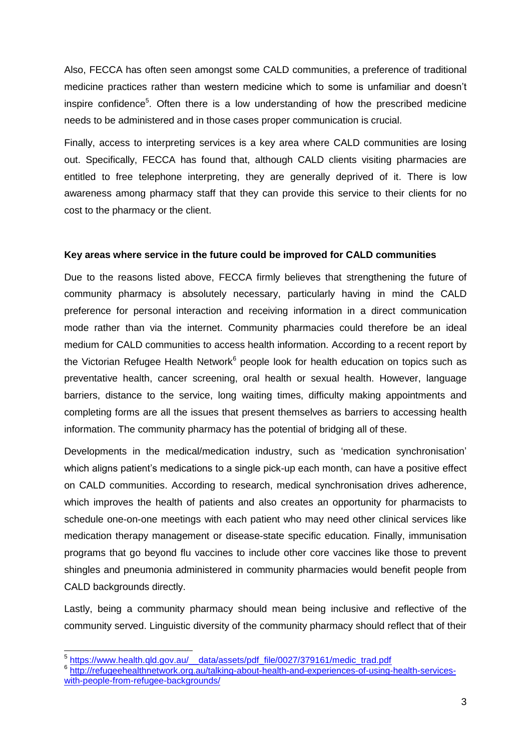Also, FECCA has often seen amongst some CALD communities, a preference of traditional medicine practices rather than western medicine which to some is unfamiliar and doesn't inspire confidence<sup>5</sup>. Often there is a low understanding of how the prescribed medicine needs to be administered and in those cases proper communication is crucial.

Finally, access to interpreting services is a key area where CALD communities are losing out. Specifically, FECCA has found that, although CALD clients visiting pharmacies are entitled to free telephone interpreting, they are generally deprived of it. There is low awareness among pharmacy staff that they can provide this service to their clients for no cost to the pharmacy or the client.

## **Key areas where service in the future could be improved for CALD communities**

Due to the reasons listed above, FECCA firmly believes that strengthening the future of community pharmacy is absolutely necessary, particularly having in mind the CALD preference for personal interaction and receiving information in a direct communication mode rather than via the internet. Community pharmacies could therefore be an ideal medium for CALD communities to access health information. According to a recent report by the Victorian Refugee Health Network<sup>6</sup> people look for health education on topics such as preventative health, cancer screening, oral health or sexual health. However, language barriers, distance to the service, long waiting times, difficulty making appointments and completing forms are all the issues that present themselves as barriers to accessing health information. The community pharmacy has the potential of bridging all of these.

Developments in the medical/medication industry, such as 'medication synchronisation' which aligns patient's medications to a single pick-up each month, can have a positive effect on CALD communities. According to research, medical synchronisation drives adherence, which improves the health of patients and also creates an opportunity for pharmacists to schedule one-on-one meetings with each patient who may need other clinical services like medication therapy management or disease-state specific education. Finally, immunisation programs that go beyond flu vaccines to include other core vaccines like those to prevent shingles and pneumonia administered in community pharmacies would benefit people from CALD backgrounds directly.

Lastly, being a community pharmacy should mean being inclusive and reflective of the community served. Linguistic diversity of the community pharmacy should reflect that of their

 5 [https://www.health.qld.gov.au/\\_\\_data/assets/pdf\\_file/0027/379161/medic\\_trad.pdf](https://www.health.qld.gov.au/__data/assets/pdf_file/0027/379161/medic_trad.pdf) 6 [http://refugeehealthnetwork.org.au/talking-about-health-and-experiences-of-using-health-services](http://refugeehealthnetwork.org.au/talking-about-health-and-experiences-of-using-health-services-with-people-from-refugee-backgrounds/)[with-people-from-refugee-backgrounds/](http://refugeehealthnetwork.org.au/talking-about-health-and-experiences-of-using-health-services-with-people-from-refugee-backgrounds/)